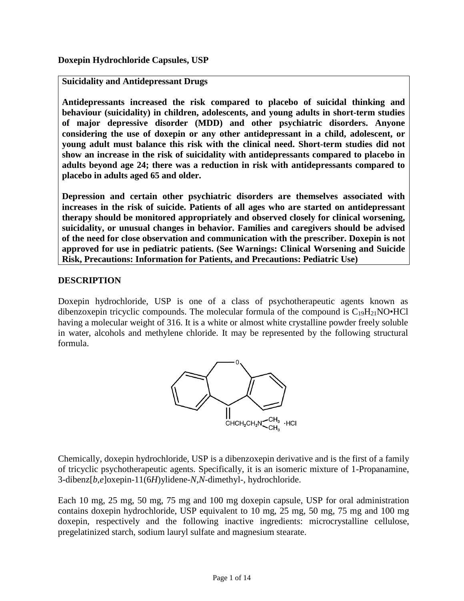## <span id="page-0-0"></span>**Doxepin Hydrochloride Capsules, USP**

## **Suicidality and Antidepressant Drugs**

**Antidepressants increased the risk compared to placebo of suicidal thinking and behaviour (suicidality) in children, adolescents, and young adults in short-term studies of major depressive disorder (MDD) and other psychiatric disorders. Anyone considering the use of doxepin or any other antidepressant in a child, adolescent, or young adult must balance this risk with the clinical need. Short-term studies did not show an increase in the risk of suicidality with antidepressants compared to placebo in adults beyond age 24; there was a reduction in risk with antidepressants compared to placebo in adults aged 65 and older.** 

**Depression and certain other psychiatric disorders are themselves associated with increases in the risk of suicide. Patients of all ages who are started on antidepressant therapy should be monitored appropriately and observed closely for clinical worsening, suicidality, or unusual changes in behavior. Families and caregivers should be advised of the need for close observation and communication with the prescriber. Doxepin is not approved for use in pediatric patients. ([See Warnings: Clinical Worsening and Suicide](#page-2-0)  Risk, [Precautions: Information for Patients](#page-4-0), and [Precautions: Pediatric Use](#page-6-0))**

## **DESCRIPTION**

Doxepin hydrochloride, USP is one of a class of psychotherapeutic agents known as dibenzoxepin tricyclic compounds. The molecular formula of the compound is  $C_{19}H_{21}NO\bullet HCl$ having a molecular weight of 316. It is a white or almost white crystalline powder freely soluble in water, alcohols and methylene chloride. It may be represented by the following structural formula.



Chemically, doxepin hydrochloride, USP is a dibenzoxepin derivative and is the first of a family of tricyclic psychotherapeutic agents. Specifically, it is an isomeric mixture of 1-Propanamine, 3-dibenz[*b*,*e*]oxepin-11(6*H*)ylidene-*N*,*N*-dimethyl-, hydrochloride.

Each 10 mg, 25 mg, 50 mg, 75 mg and 100 mg doxepin capsule, USP for oral administration contains doxepin hydrochloride, USP equivalent to 10 mg, 25 mg, 50 mg, 75 mg and 100 mg doxepin, respectively and the following inactive ingredients: microcrystalline cellulose, pregelatinized starch, sodium lauryl sulfate and magnesium stearate.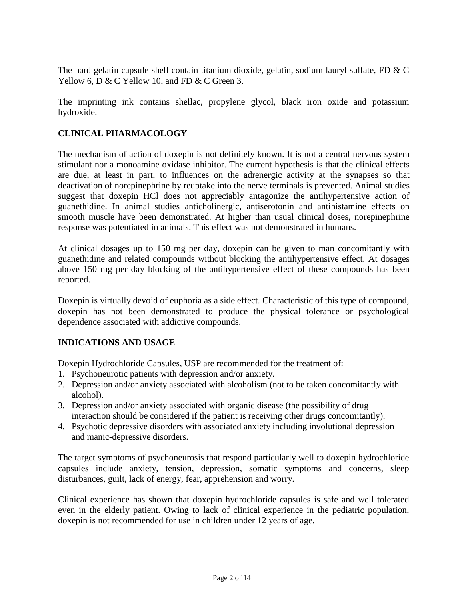The hard gelatin capsule shell contain titanium dioxide, gelatin, sodium lauryl sulfate, FD & C Yellow 6, D & C Yellow 10, and FD & C Green 3.

The imprinting ink contains shellac, propylene glycol, black iron oxide and potassium hydroxide.

# **CLINICAL PHARMACOLOGY**

The mechanism of action of doxepin is not definitely known. It is not a central nervous system stimulant nor a monoamine oxidase inhibitor. The current hypothesis is that the clinical effects are due, at least in part, to influences on the adrenergic activity at the synapses so that deactivation of norepinephrine by reuptake into the nerve terminals is prevented. Animal studies suggest that doxepin HCl does not appreciably antagonize the antihypertensive action of guanethidine. In animal studies anticholinergic, antiserotonin and antihistamine effects on smooth muscle have been demonstrated. At higher than usual clinical doses, norepinephrine response was potentiated in animals. This effect was not demonstrated in humans.

At clinical dosages up to 150 mg per day, doxepin can be given to man concomitantly with guanethidine and related compounds without blocking the antihypertensive effect. At dosages above 150 mg per day blocking of the antihypertensive effect of these compounds has been reported.

Doxepin is virtually devoid of euphoria as a side effect. Characteristic of this type of compound, doxepin has not been demonstrated to produce the physical tolerance or psychological dependence associated with addictive compounds.

# **INDICATIONS AND USAGE**

Doxepin Hydrochloride Capsules, USP are recommended for the treatment of:

- 1. Psychoneurotic patients with depression and/or anxiety.
- 2. Depression and/or anxiety associated with alcoholism (not to be taken concomitantly with alcohol).
- 3. Depression and/or anxiety associated with organic disease (the possibility of drug interaction should be considered if the patient is receiving other drugs concomitantly).
- 4. Psychotic depressive disorders with associated anxiety including involutional depression and manic-depressive disorders.

The target symptoms of psychoneurosis that respond particularly well to doxepin hydrochloride capsules include anxiety, tension, depression, somatic symptoms and concerns, sleep disturbances, guilt, lack of energy, fear, apprehension and worry.

Clinical experience has shown that doxepin hydrochloride capsules is safe and well tolerated even in the elderly patient. Owing to lack of clinical experience in the pediatric population, doxepin is not recommended for use in children under 12 years of age.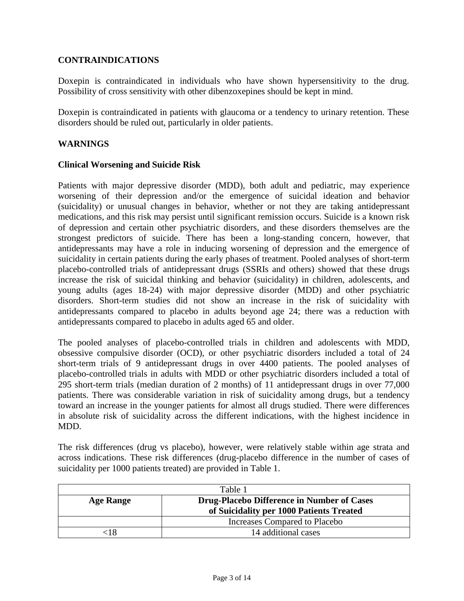# <span id="page-2-2"></span><span id="page-2-1"></span>**CONTRAINDICATIONS**

Doxepin is contraindicated in individuals who have shown hypersensitivity to the drug. Possibility of cross sensitivity with other dibenzoxepines should be kept in mind.

Doxepin is contraindicated in patients with glaucoma or a tendency to urinary retention. These disorders should be ruled out, particularly in older patients.

#### <span id="page-2-0"></span>**WARNINGS**

#### **Clinical Worsening and Suicide Risk**

Patients with major depressive disorder (MDD), both adult and pediatric, may experience worsening of their depression and/or the emergence of suicidal ideation and behavior (suicidality) or unusual changes in behavior, whether or not they are taking antidepressant medications, and this risk may persist until significant remission occurs. Suicide is a known risk of depression and certain other psychiatric disorders, and these disorders themselves are the strongest predictors of suicide. There has been a long-standing concern, however, that antidepressants may have a role in inducing worsening of depression and the emergence of suicidality in certain patients during the early phases of treatment. Pooled analyses of short-term placebo-controlled trials of antidepressant drugs (SSRIs and others) showed that these drugs increase the risk of suicidal thinking and behavior (suicidality) in children, adolescents, and young adults (ages 18-24) with major depressive disorder (MDD) and other psychiatric disorders. Short-term studies did not show an increase in the risk of suicidality with antidepressants compared to placebo in adults beyond age 24; there was a reduction with antidepressants compared to placebo in adults aged 65 and older.

The pooled analyses of placebo-controlled trials in children and adolescents with MDD, obsessive compulsive disorder (OCD), or other psychiatric disorders included a total of 24 short-term trials of 9 antidepressant drugs in over 4400 patients. The pooled analyses of placebo-controlled trials in adults with MDD or other psychiatric disorders included a total of 295 short-term trials (median duration of 2 months) of 11 antidepressant drugs in over 77,000 patients. There was considerable variation in risk of suicidality among drugs, but a tendency toward an increase in the younger patients for almost all drugs studied. There were differences in absolute risk of suicidality across the different indications, with the highest incidence in MDD.

The risk differences (drug vs placebo), however, were relatively stable within age strata and across indications. These risk differences (drug-placebo difference in the number of cases of suicidality per 1000 patients treated) are provided in Table 1.

| Table 1          |                                                                                               |
|------------------|-----------------------------------------------------------------------------------------------|
| <b>Age Range</b> | <b>Drug-Placebo Difference in Number of Cases</b><br>of Suicidality per 1000 Patients Treated |
|                  | Increases Compared to Placebo                                                                 |
|                  | 14 additional cases                                                                           |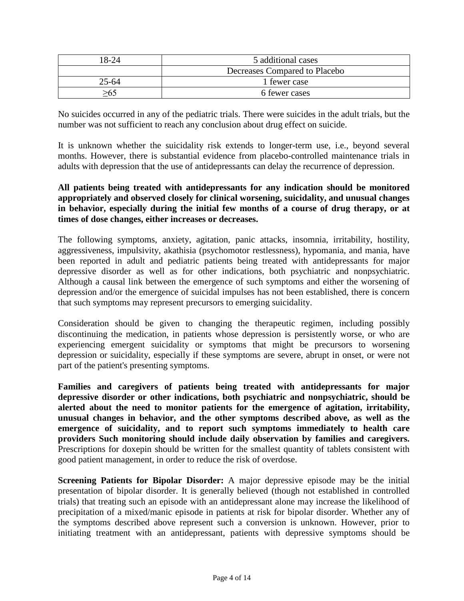| 18-24 | 5 additional cases            |
|-------|-------------------------------|
|       | Decreases Compared to Placebo |
| 25-64 | 1 fewer case                  |
| -65   | 6 fewer cases                 |

No suicides occurred in any of the pediatric trials. There were suicides in the adult trials, but the number was not sufficient to reach any conclusion about drug effect on suicide.

It is unknown whether the suicidality risk extends to longer-term use, i.e., beyond several months. However, there is substantial evidence from placebo-controlled maintenance trials in adults with depression that the use of antidepressants can delay the recurrence of depression.

## **All patients being treated with antidepressants for any indication should be monitored appropriately and observed closely for clinical worsening, suicidality, and unusual changes in behavior, especially during the initial few months of a course of drug therapy, or at times of dose changes, either increases or decreases.**

The following symptoms, anxiety, agitation, panic attacks, insomnia, irritability, hostility, aggressiveness, impulsivity, akathisia (psychomotor restlessness), hypomania, and mania, have been reported in adult and pediatric patients being treated with antidepressants for major depressive disorder as well as for other indications, both psychiatric and nonpsychiatric. Although a causal link between the emergence of such symptoms and either the worsening of depression and/or the emergence of suicidal impulses has not been established, there is concern that such symptoms may represent precursors to emerging suicidality.

Consideration should be given to changing the therapeutic regimen, including possibly discontinuing the medication, in patients whose depression is persistently worse, or who are experiencing emergent suicidality or symptoms that might be precursors to worsening depression or suicidality, especially if these symptoms are severe, abrupt in onset, or were not part of the patient's presenting symptoms.

**Families and caregivers of patients being treated with antidepressants for major depressive disorder or other indications, both psychiatric and nonpsychiatric, should be alerted about the need to monitor patients for the emergence of agitation, irritability, unusual changes in behavior, and the other symptoms described above, as well as the emergence of suicidality, and to report such symptoms immediately to health care providers Such monitoring should include daily observation by families and caregivers.**  Prescriptions for doxepin should be written for the smallest quantity of tablets consistent with good patient management, in order to reduce the risk of overdose.

**Screening Patients for Bipolar Disorder:** A major depressive episode may be the initial presentation of bipolar disorder. It is generally believed (though not established in controlled trials) that treating such an episode with an antidepressant alone may increase the likelihood of precipitation of a mixed/manic episode in patients at risk for bipolar disorder. Whether any of the symptoms described above represent such a conversion is unknown. However, prior to initiating treatment with an antidepressant, patients with depressive symptoms should be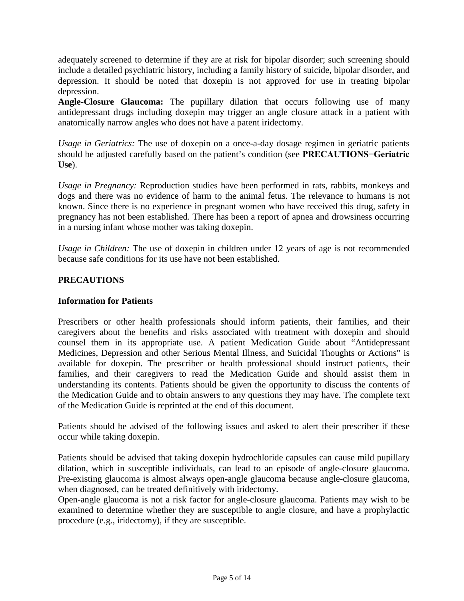adequately screened to determine if they are at risk for bipolar disorder; such screening should include a detailed psychiatric history, including a family history of suicide, bipolar disorder, and depression. It should be noted that doxepin is not approved for use in treating bipolar depression.

**Angle-Closure Glaucoma:** The pupillary dilation that occurs following use of many antidepressant drugs including doxepin may trigger an angle closure attack in a patient with anatomically narrow angles who does not have a patent iridectomy.

*Usage in Geriatrics:* The use of doxepin on a once-a-day dosage regimen in geriatric patients [should be adjusted carefully based on the patient's condition \(see](#page-7-0) **PRECAUTIONS−Geriatric Use**).

*Usage in Pregnancy:* Reproduction studies have been performed in rats, rabbits, monkeys and dogs and there was no evidence of harm to the animal fetus. The relevance to humans is not known. Since there is no experience in pregnant women who have received this drug, safety in pregnancy has not been established. There has been a report of apnea and drowsiness occurring in a nursing infant whose mother was taking doxepin.

<span id="page-4-0"></span>*Usage in Children:* The use of doxepin in children under 12 years of age is not recommended because safe conditions for its use have not been established.

## **PRECAUTIONS**

#### **Information for Patients**

Prescribers or other health professionals should inform patients, their families, and their caregivers about the benefits and risks associated with treatment with doxepin and should counsel them in its appropriate use. A patient Medication Guide about "Antidepressant Medicines, Depression and other Serious Mental Illness, and Suicidal Thoughts or Actions" is available for doxepin. The prescriber or health professional should instruct patients, their families, and their caregivers to read the Medication Guide and should assist them in understanding its contents. Patients should be given the opportunity to discuss the contents of the Medication Guide and to obtain answers to any questions they may have. The complete text of the Medication Guide is reprinted at the end of this document.

Patients should be advised of the following issues and asked to alert their prescriber if these occur while taking doxepin.

Patients should be advised that taking doxepin hydrochloride capsules can cause mild pupillary dilation, which in susceptible individuals, can lead to an episode of angle-closure glaucoma. Pre-existing glaucoma is almost always open-angle glaucoma because angle-closure glaucoma, when diagnosed, can be treated definitively with iridectomy.

Open-angle glaucoma is not a risk factor for angle-closure glaucoma. Patients may wish to be examined to determine whether they are susceptible to angle closure, and have a prophylactic procedure (e.g., iridectomy), if they are susceptible.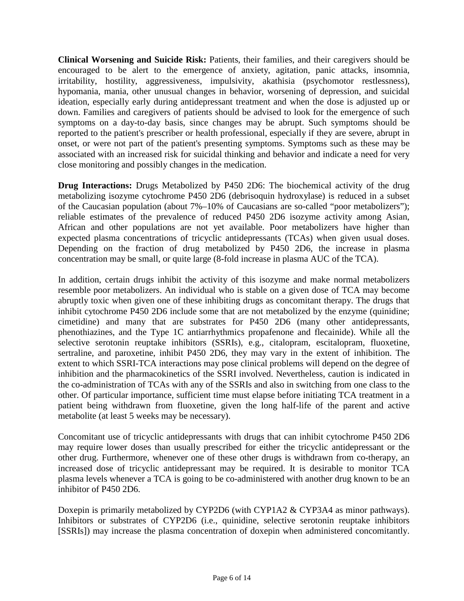**Clinical Worsening and Suicide Risk:** Patients, their families, and their caregivers should be encouraged to be alert to the emergence of anxiety, agitation, panic attacks, insomnia, irritability, hostility, aggressiveness, impulsivity, akathisia (psychomotor restlessness), hypomania, mania, other unusual changes in behavior, worsening of depression, and suicidal ideation, especially early during antidepressant treatment and when the dose is adjusted up or down. Families and caregivers of patients should be advised to look for the emergence of such symptoms on a day-to-day basis, since changes may be abrupt. Such symptoms should be reported to the patient's prescriber or health professional, especially if they are severe, abrupt in onset, or were not part of the patient's presenting symptoms. Symptoms such as these may be associated with an increased risk for suicidal thinking and behavior and indicate a need for very close monitoring and possibly changes in the medication.

**Drug Interactions:** Drugs Metabolized by P450 2D6: The biochemical activity of the drug metabolizing isozyme cytochrome P450 2D6 (debrisoquin hydroxylase) is reduced in a subset of the Caucasian population (about 7%–10% of Caucasians are so-called "poor metabolizers"); reliable estimates of the prevalence of reduced P450 2D6 isozyme activity among Asian, African and other populations are not yet available. Poor metabolizers have higher than expected plasma concentrations of tricyclic antidepressants (TCAs) when given usual doses. Depending on the fraction of drug metabolized by P450 2D6, the increase in plasma concentration may be small, or quite large (8-fold increase in plasma AUC of the TCA).

In addition, certain drugs inhibit the activity of this isozyme and make normal metabolizers resemble poor metabolizers. An individual who is stable on a given dose of TCA may become abruptly toxic when given one of these inhibiting drugs as concomitant therapy. The drugs that inhibit cytochrome P450 2D6 include some that are not metabolized by the enzyme (quinidine; cimetidine) and many that are substrates for P450 2D6 (many other antidepressants, phenothiazines, and the Type 1C antiarrhythmics propafenone and flecainide). While all the selective serotonin reuptake inhibitors (SSRIs), e.g., citalopram, escitalopram, fluoxetine, sertraline, and paroxetine, inhibit P450 2D6, they may vary in the extent of inhibition. The extent to which SSRI-TCA interactions may pose clinical problems will depend on the degree of inhibition and the pharmacokinetics of the SSRI involved. Nevertheless, caution is indicated in the co-administration of TCAs with any of the SSRIs and also in switching from one class to the other. Of particular importance, sufficient time must elapse before initiating TCA treatment in a patient being withdrawn from fluoxetine, given the long half-life of the parent and active metabolite (at least 5 weeks may be necessary).

Concomitant use of tricyclic antidepressants with drugs that can inhibit cytochrome P450 2D6 may require lower doses than usually prescribed for either the tricyclic antidepressant or the other drug. Furthermore, whenever one of these other drugs is withdrawn from co-therapy, an increased dose of tricyclic antidepressant may be required. It is desirable to monitor TCA plasma levels whenever a TCA is going to be co-administered with another drug known to be an inhibitor of P450 2D6.

Doxepin is primarily metabolized by CYP2D6 (with CYP1A2 & CYP3A4 as minor pathways). Inhibitors or substrates of CYP2D6 (i.e., quinidine, selective serotonin reuptake inhibitors [SSRIs]) may increase the plasma concentration of doxepin when administered concomitantly.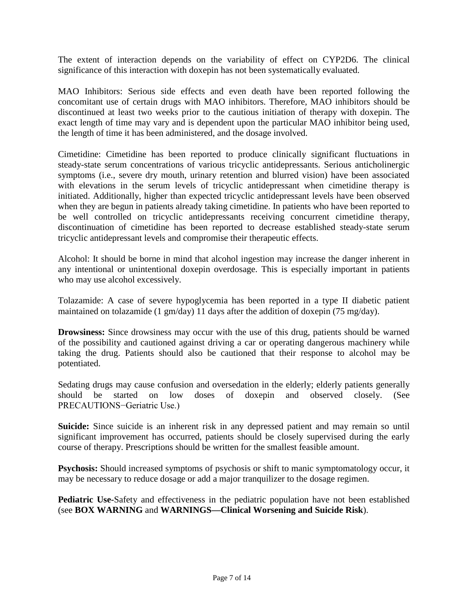<span id="page-6-0"></span>The extent of interaction depends on the variability of effect on CYP2D6. The clinical significance of this interaction with doxepin has not been systematically evaluated.

MAO Inhibitors: Serious side effects and even death have been reported following the concomitant use of certain drugs with MAO inhibitors. Therefore, MAO inhibitors should be discontinued at least two weeks prior to the cautious initiation of therapy with doxepin. The exact length of time may vary and is dependent upon the particular MAO inhibitor being used, the length of time it has been administered, and the dosage involved.

Cimetidine: Cimetidine has been reported to produce clinically significant fluctuations in steady-state serum concentrations of various tricyclic antidepressants. Serious anticholinergic symptoms (i.e., severe dry mouth, urinary retention and blurred vision) have been associated with elevations in the serum levels of tricyclic antidepressant when cimetidine therapy is initiated. Additionally, higher than expected tricyclic antidepressant levels have been observed when they are begun in patients already taking cimetidine. In patients who have been reported to be well controlled on tricyclic antidepressants receiving concurrent cimetidine therapy, discontinuation of cimetidine has been reported to decrease established steady-state serum tricyclic antidepressant levels and compromise their therapeutic effects.

Alcohol: It should be borne in mind that alcohol ingestion may increase the danger inherent in any intentional or unintentional doxepin overdosage. This is especially important in patients who may use alcohol excessively.

Tolazamide: A case of severe hypoglycemia has been reported in a type II diabetic patient maintained on tolazamide (1 gm/day) 11 days after the addition of doxepin (75 mg/day).

**Drowsiness:** Since drowsiness may occur with the use of this drug, patients should be warned of the possibility and cautioned against driving a car or operating dangerous machinery while taking the drug. Patients should also be cautioned that their response to alcohol may be potentiated.

Sedating drugs may cause confusion and oversedation in the elderly; elderly patients generally [should be started on low doses of doxepin and observed closely. \(See](#page-7-0)  PRECAUTIONS−Geriatric Use.)

**Suicide:** Since suicide is an inherent risk in any depressed patient and may remain so until significant improvement has occurred, patients should be closely supervised during the early course of therapy. Prescriptions should be written for the smallest feasible amount.

**Psychosis:** Should increased symptoms of psychosis or shift to manic symptomatology occur, it may be necessary to reduce dosage or add a major tranquilizer to the dosage regimen.

**Pediatric Use-**Safety and effectiveness in the pediatric population have not been established (see **[BOX WARNING](#page-0-0)** and **[WARNINGS—Clinical Worsening and Suicide Risk](#page-2-1)**).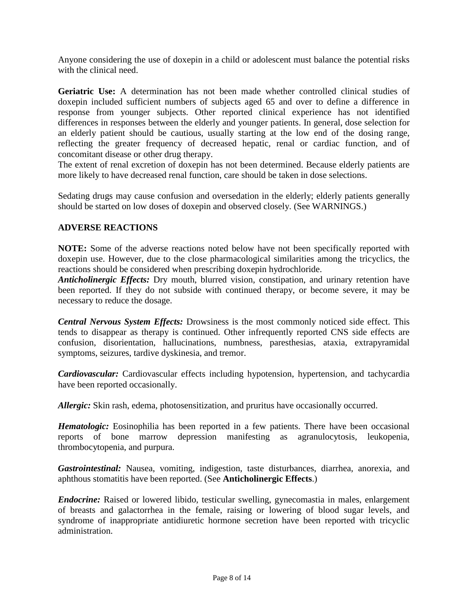<span id="page-7-1"></span><span id="page-7-0"></span>Anyone considering the use of doxepin in a child or adolescent must balance the potential risks with the clinical need.

**Geriatric Use:** A determination has not been made whether controlled clinical studies of doxepin included sufficient numbers of subjects aged 65 and over to define a difference in response from younger subjects. Other reported clinical experience has not identified differences in responses between the elderly and younger patients. In general, dose selection for an elderly patient should be cautious, usually starting at the low end of the dosing range, reflecting the greater frequency of decreased hepatic, renal or cardiac function, and of concomitant disease or other drug therapy.

The extent of renal excretion of doxepin has not been determined. Because elderly patients are more likely to have decreased renal function, care should be taken in dose selections.

Sedating drugs may cause confusion and oversedation in the elderly; elderly patients generally should be started on low doses of doxepin and observed closely. ([See WARNINGS.](#page-2-2))

## **ADVERSE REACTIONS**

**NOTE:** Some of the adverse reactions noted below have not been specifically reported with doxepin use. However, due to the close pharmacological similarities among the tricyclics, the reactions should be considered when prescribing doxepin hydrochloride.

*Anticholinergic Effects:* Dry mouth, blurred vision, constipation, and urinary retention have been reported. If they do not subside with continued therapy, or become severe, it may be necessary to reduce the dosage.

*Central Nervous System Effects:* Drowsiness is the most commonly noticed side effect. This tends to disappear as therapy is continued. Other infrequently reported CNS side effects are confusion, disorientation, hallucinations, numbness, paresthesias, ataxia, extrapyramidal symptoms, seizures, tardive dyskinesia, and tremor.

*Cardiovascular:* Cardiovascular effects including hypotension, hypertension, and tachycardia have been reported occasionally.

*Allergic:* Skin rash, edema, photosensitization, and pruritus have occasionally occurred.

*Hematologic:* Eosinophilia has been reported in a few patients. There have been occasional reports of bone marrow depression manifesting as agranulocytosis, leukopenia, thrombocytopenia, and purpura.

*Gastrointestinal:* Nausea, vomiting, indigestion, taste disturbances, diarrhea, anorexia, and aphthous stomatitis have been reported. (See **[Anticholinergic Effects](#page-7-1)**.)

*Endocrine:* Raised or lowered libido, testicular swelling, gynecomastia in males, enlargement of breasts and galactorrhea in the female, raising or lowering of blood sugar levels, and syndrome of inappropriate antidiuretic hormone secretion have been reported with tricyclic administration.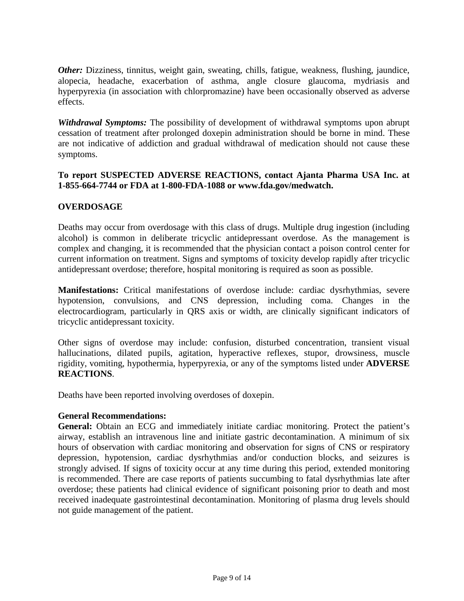*Other:* Dizziness, tinnitus, weight gain, sweating, chills, fatigue, weakness, flushing, jaundice, alopecia, headache, exacerbation of asthma, angle closure glaucoma, mydriasis and hyperpyrexia (in association with chlorpromazine) have been occasionally observed as adverse effects.

*Withdrawal Symptoms:* The possibility of development of withdrawal symptoms upon abrupt cessation of treatment after prolonged doxepin administration should be borne in mind. These are not indicative of addiction and gradual withdrawal of medication should not cause these symptoms.

## **To report SUSPECTED ADVERSE REACTIONS, contact Ajanta Pharma USA Inc. at 1-855-664-7744 or FDA at 1-800-FDA-1088 or www.fda.gov/medwatch.**

# **OVERDOSAGE**

Deaths may occur from overdosage with this class of drugs. Multiple drug ingestion (including alcohol) is common in deliberate tricyclic antidepressant overdose. As the management is complex and changing, it is recommended that the physician contact a poison control center for current information on treatment. Signs and symptoms of toxicity develop rapidly after tricyclic antidepressant overdose; therefore, hospital monitoring is required as soon as possible.

**Manifestations:** Critical manifestations of overdose include: cardiac dysrhythmias, severe hypotension, convulsions, and CNS depression, including coma. Changes in the electrocardiogram, particularly in QRS axis or width, are clinically significant indicators of tricyclic antidepressant toxicity.

Other signs of overdose may include: confusion, disturbed concentration, transient visual hallucinations, dilated pupils, agitation, hyperactive reflexes, stupor, drowsiness, muscle rigidity, vomiting, hypothermia, hyperpyrexia, or any of the symptoms listed under **[ADVERSE](#page-7-0)  REACTIONS**.

Deaths have been reported involving overdoses of doxepin.

#### **General Recommendations:**

**General:** Obtain an ECG and immediately initiate cardiac monitoring. Protect the patient's airway, establish an intravenous line and initiate gastric decontamination. A minimum of six hours of observation with cardiac monitoring and observation for signs of CNS or respiratory depression, hypotension, cardiac dysrhythmias and/or conduction blocks, and seizures is strongly advised. If signs of toxicity occur at any time during this period, extended monitoring is recommended. There are case reports of patients succumbing to fatal dysrhythmias late after overdose; these patients had clinical evidence of significant poisoning prior to death and most received inadequate gastrointestinal decontamination. Monitoring of plasma drug levels should not guide management of the patient.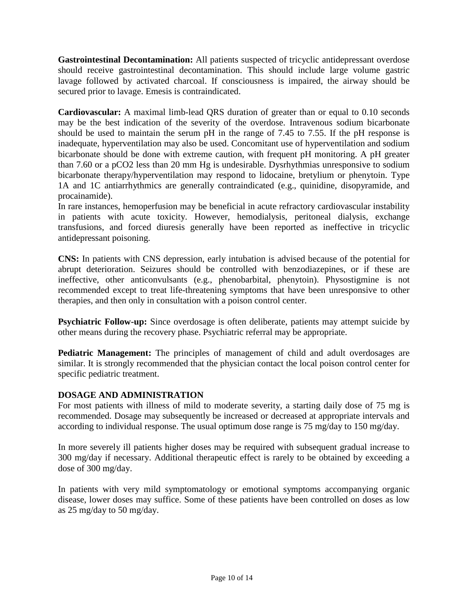**Gastrointestinal Decontamination:** All patients suspected of tricyclic antidepressant overdose should receive gastrointestinal decontamination. This should include large volume gastric lavage followed by activated charcoal. If consciousness is impaired, the airway should be secured prior to lavage. Emesis is contraindicated.

**Cardiovascular:** A maximal limb-lead QRS duration of greater than or equal to 0.10 seconds may be the best indication of the severity of the overdose. Intravenous sodium bicarbonate should be used to maintain the serum pH in the range of 7.45 to 7.55. If the pH response is inadequate, hyperventilation may also be used. Concomitant use of hyperventilation and sodium bicarbonate should be done with extreme caution, with frequent pH monitoring. A pH greater than 7.60 or a pCO2 less than 20 mm Hg is undesirable. Dysrhythmias unresponsive to sodium bicarbonate therapy/hyperventilation may respond to lidocaine, bretylium or phenytoin. Type 1A and 1C antiarrhythmics are generally contraindicated (e.g., quinidine, disopyramide, and procainamide).

In rare instances, hemoperfusion may be beneficial in acute refractory cardiovascular instability in patients with acute toxicity. However, hemodialysis, peritoneal dialysis, exchange transfusions, and forced diuresis generally have been reported as ineffective in tricyclic antidepressant poisoning.

**CNS:** In patients with CNS depression, early intubation is advised because of the potential for abrupt deterioration. Seizures should be controlled with benzodiazepines, or if these are ineffective, other anticonvulsants (e.g., phenobarbital, phenytoin). Physostigmine is not recommended except to treat life-threatening symptoms that have been unresponsive to other therapies, and then only in consultation with a poison control center.

**Psychiatric Follow-up:** Since overdosage is often deliberate, patients may attempt suicide by other means during the recovery phase. Psychiatric referral may be appropriate.

**Pediatric Management:** The principles of management of child and adult overdosages are similar. It is strongly recommended that the physician contact the local poison control center for specific pediatric treatment.

#### **DOSAGE AND ADMINISTRATION**

For most patients with illness of mild to moderate severity, a starting daily dose of 75 mg is recommended. Dosage may subsequently be increased or decreased at appropriate intervals and according to individual response. The usual optimum dose range is 75 mg/day to 150 mg/day.

In more severely ill patients higher doses may be required with subsequent gradual increase to 300 mg/day if necessary. Additional therapeutic effect is rarely to be obtained by exceeding a dose of 300 mg/day.

In patients with very mild symptomatology or emotional symptoms accompanying organic disease, lower doses may suffice. Some of these patients have been controlled on doses as low as 25 mg/day to 50 mg/day.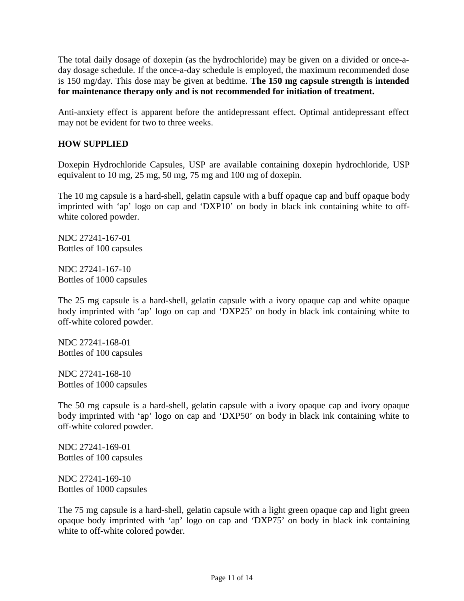The total daily dosage of doxepin (as the hydrochloride) may be given on a divided or once-aday dosage schedule. If the once-a-day schedule is employed, the maximum recommended dose is 150 mg/day. This dose may be given at bedtime. **The 150 mg capsule strength is intended for maintenance therapy only and is not recommended for initiation of treatment.**

Anti-anxiety effect is apparent before the antidepressant effect. Optimal antidepressant effect may not be evident for two to three weeks.

#### **HOW SUPPLIED**

Doxepin Hydrochloride Capsules, USP are available containing doxepin hydrochloride, USP equivalent to 10 mg, 25 mg, 50 mg, 75 mg and 100 mg of doxepin.

The 10 mg capsule is a hard-shell, gelatin capsule with a buff opaque cap and buff opaque body imprinted with 'ap' logo on cap and 'DXP10' on body in black ink containing white to offwhite colored powder.

NDC 27241-167-01 Bottles of 100 capsules

NDC 27241-167-10 Bottles of 1000 capsules

The 25 mg capsule is a hard-shell, gelatin capsule with a ivory opaque cap and white opaque body imprinted with 'ap' logo on cap and 'DXP25' on body in black ink containing white to off-white colored powder.

NDC 27241-168-01 Bottles of 100 capsules

NDC 27241-168-10 Bottles of 1000 capsules

The 50 mg capsule is a hard-shell, gelatin capsule with a ivory opaque cap and ivory opaque body imprinted with 'ap' logo on cap and 'DXP50' on body in black ink containing white to off-white colored powder.

NDC 27241-169-01 Bottles of 100 capsules

NDC 27241-169-10 Bottles of 1000 capsules

The 75 mg capsule is a hard-shell, gelatin capsule with a light green opaque cap and light green opaque body imprinted with 'ap' logo on cap and 'DXP75' on body in black ink containing white to off-white colored powder.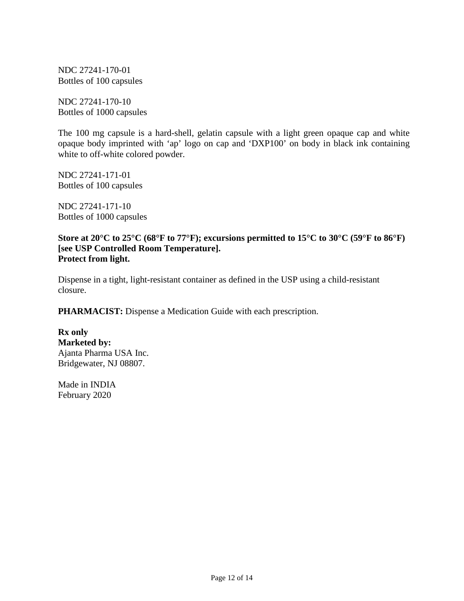NDC 27241-170-01 Bottles of 100 capsules

NDC 27241-170-10 Bottles of 1000 capsules

The 100 mg capsule is a hard-shell, gelatin capsule with a light green opaque cap and white opaque body imprinted with 'ap' logo on cap and 'DXP100' on body in black ink containing white to off-white colored powder.

NDC 27241-171-01 Bottles of 100 capsules

NDC 27241-171-10 Bottles of 1000 capsules

**Store at 20°C to 25°C (68°F to 77°F); excursions permitted to 15°C to 30°C (59°F to 86°F) [see USP Controlled Room Temperature]. Protect from light.**

Dispense in a tight, light-resistant container as defined in the USP using a child-resistant closure.

**PHARMACIST:** Dispense a Medication Guide with each prescription.

**Rx only Marketed by:** Ajanta Pharma USA Inc. Bridgewater, NJ 08807.

Made in INDIA February 2020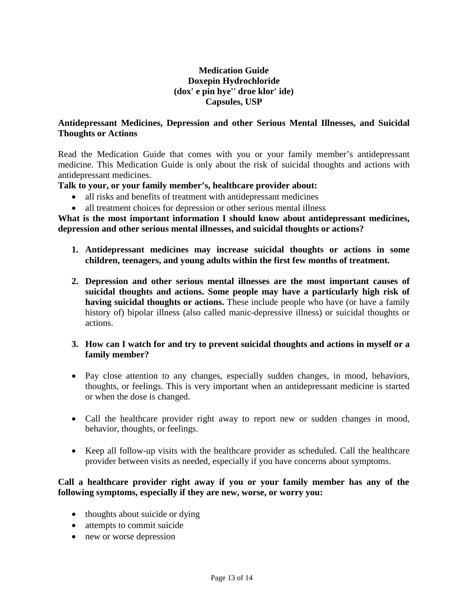# **Medication Guide Doxepin Hydrochloride (dox' e pin hye'' droe klor' ide) Capsules, USP**

## **Antidepressant Medicines, Depression and other Serious Mental Illnesses, and Suicidal Thoughts or Actions**

Read the Medication Guide that comes with you or your family member's antidepressant medicine. This Medication Guide is only about the risk of suicidal thoughts and actions with antidepressant medicines.

**Talk to your, or your family member's, healthcare provider about:** 

- all risks and benefits of treatment with antidepressant medicines
- all treatment choices for depression or other serious mental illness

**What is the most important information I should know about antidepressant medicines, depression and other serious mental illnesses, and suicidal thoughts or actions?**

- **1. Antidepressant medicines may increase suicidal thoughts or actions in some children, teenagers, and young adults within the first few months of treatment.**
- **2. Depression and other serious mental illnesses are the most important causes of suicidal thoughts and actions. Some people may have a particularly high risk of having suicidal thoughts or actions.** These include people who have (or have a family history of) bipolar illness (also called manic-depressive illness) or suicidal thoughts or actions.
- **3. How can I watch for and try to prevent suicidal thoughts and actions in myself or a family member?**
- Pay close attention to any changes, especially sudden changes, in mood, behaviors, thoughts, or feelings. This is very important when an antidepressant medicine is started or when the dose is changed.
- Call the healthcare provider right away to report new or sudden changes in mood, behavior, thoughts, or feelings.
- Keep all follow-up visits with the healthcare provider as scheduled. Call the healthcare provider between visits as needed, especially if you have concerns about symptoms.

## **Call a healthcare provider right away if you or your family member has any of the following symptoms, especially if they are new, worse, or worry you:**

- thoughts about suicide or dying
- attempts to commit suicide
- new or worse depression